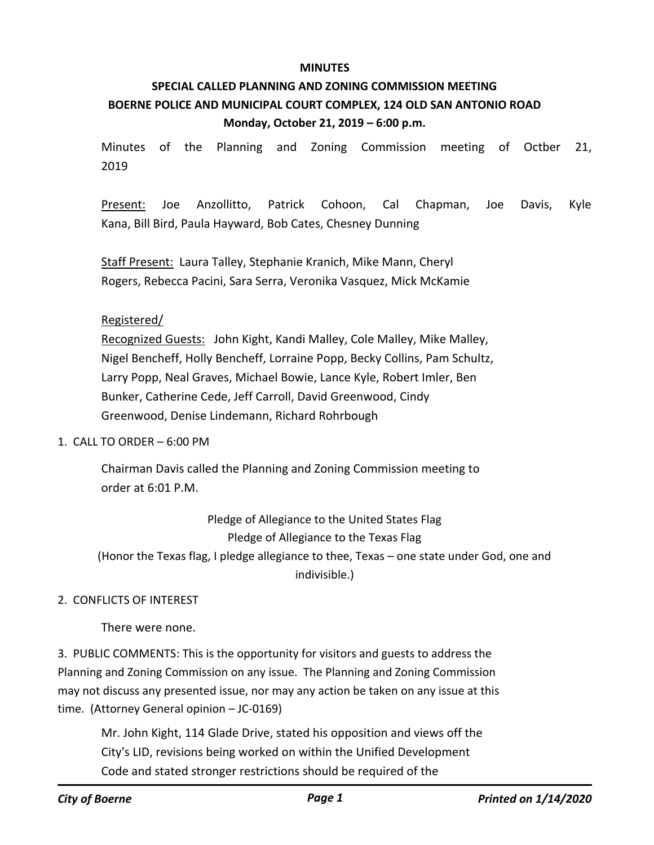### **MINUTES**

# **SPECIAL CALLED PLANNING AND ZONING COMMISSION MEETING BOERNE POLICE AND MUNICIPAL COURT COMPLEX, 124 OLD SAN ANTONIO ROAD Monday, October 21, 2019 – 6:00 p.m.**

Minutes of the Planning and Zoning Commission meeting of Octber 21, 2019

Present: Joe Anzollitto, Patrick Cohoon, Cal Chapman, Joe Davis, Kyle Kana, Bill Bird, Paula Hayward, Bob Cates, Chesney Dunning

Staff Present: Laura Talley, Stephanie Kranich, Mike Mann, Cheryl Rogers, Rebecca Pacini, Sara Serra, Veronika Vasquez, Mick McKamie

# Registered/

Recognized Guests: John Kight, Kandi Malley, Cole Malley, Mike Malley, Nigel Bencheff, Holly Bencheff, Lorraine Popp, Becky Collins, Pam Schultz, Larry Popp, Neal Graves, Michael Bowie, Lance Kyle, Robert Imler, Ben Bunker, Catherine Cede, Jeff Carroll, David Greenwood, Cindy Greenwood, Denise Lindemann, Richard Rohrbough

### 1. CALL TO ORDER – 6:00 PM

Chairman Davis called the Planning and Zoning Commission meeting to order at 6:01 P.M.

Pledge of Allegiance to the United States Flag Pledge of Allegiance to the Texas Flag (Honor the Texas flag, I pledge allegiance to thee, Texas – one state under God, one and indivisible.)

# 2. CONFLICTS OF INTEREST

There were none.

3. PUBLIC COMMENTS: This is the opportunity for visitors and guests to address the Planning and Zoning Commission on any issue. The Planning and Zoning Commission may not discuss any presented issue, nor may any action be taken on any issue at this time. (Attorney General opinion – JC-0169)

Mr. John Kight, 114 Glade Drive, stated his opposition and views off the City's LID, revisions being worked on within the Unified Development Code and stated stronger restrictions should be required of the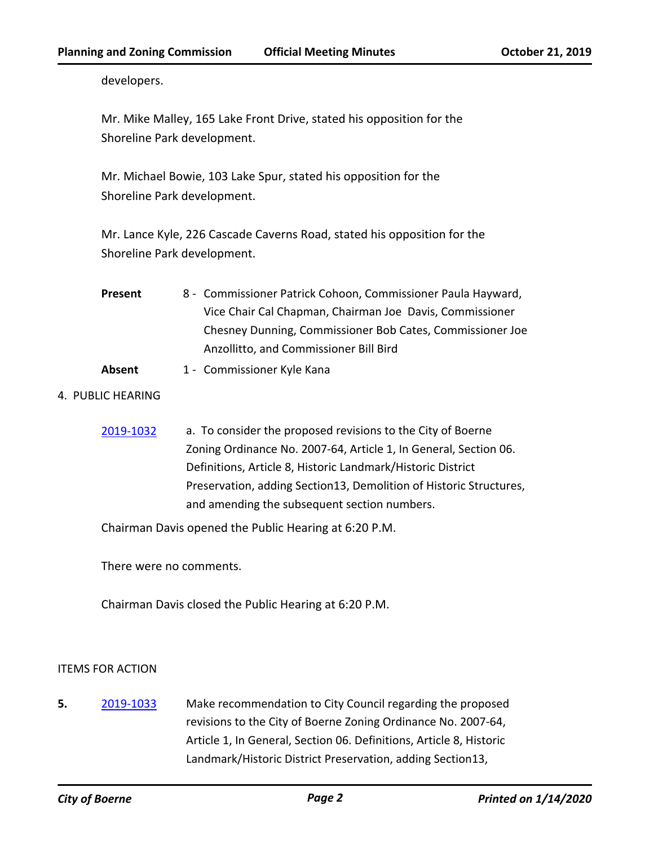developers.

Mr. Mike Malley, 165 Lake Front Drive, stated his opposition for the Shoreline Park development.

Mr. Michael Bowie, 103 Lake Spur, stated his opposition for the Shoreline Park development.

Mr. Lance Kyle, 226 Cascade Caverns Road, stated his opposition for the Shoreline Park development.

- Commissioner Patrick Cohoon, Commissioner Paula Hayward, Vice Chair Cal Chapman, Chairman Joe Davis, Commissioner Chesney Dunning, Commissioner Bob Cates, Commissioner Joe Anzollitto, and Commissioner Bill Bird **Present**
- Absent 1 Commissioner Kyle Kana

# 4. PUBLIC HEARING

[2019-1032](http://boerne.legistar.com/gateway.aspx?m=l&id=/matter.aspx?key=4858) a. To consider the proposed revisions to the City of Boerne Zoning Ordinance No. 2007-64, Article 1, In General, Section 06. Definitions, Article 8, Historic Landmark/Historic District Preservation, adding Section13, Demolition of Historic Structures, and amending the subsequent section numbers.

Chairman Davis opened the Public Hearing at 6:20 P.M.

There were no comments.

Chairman Davis closed the Public Hearing at 6:20 P.M.

# ITEMS FOR ACTION

**5.** [2019-1033](http://boerne.legistar.com/gateway.aspx?m=l&id=/matter.aspx?key=4859) Make recommendation to City Council regarding the proposed revisions to the City of Boerne Zoning Ordinance No. 2007-64, Article 1, In General, Section 06. Definitions, Article 8, Historic Landmark/Historic District Preservation, adding Section13,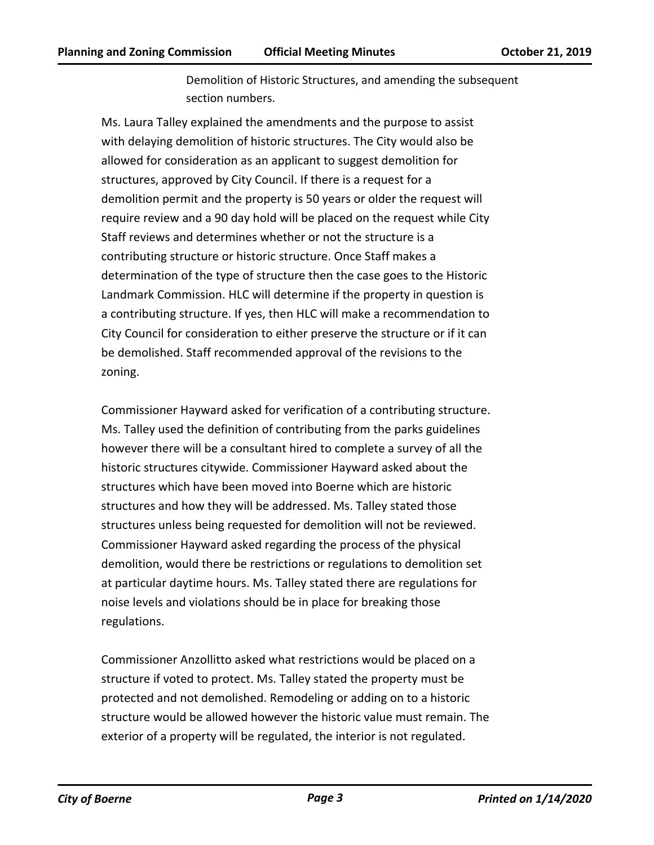Demolition of Historic Structures, and amending the subsequent section numbers.

Ms. Laura Talley explained the amendments and the purpose to assist with delaying demolition of historic structures. The City would also be allowed for consideration as an applicant to suggest demolition for structures, approved by City Council. If there is a request for a demolition permit and the property is 50 years or older the request will require review and a 90 day hold will be placed on the request while City Staff reviews and determines whether or not the structure is a contributing structure or historic structure. Once Staff makes a determination of the type of structure then the case goes to the Historic Landmark Commission. HLC will determine if the property in question is a contributing structure. If yes, then HLC will make a recommendation to City Council for consideration to either preserve the structure or if it can be demolished. Staff recommended approval of the revisions to the zoning.

Commissioner Hayward asked for verification of a contributing structure. Ms. Talley used the definition of contributing from the parks guidelines however there will be a consultant hired to complete a survey of all the historic structures citywide. Commissioner Hayward asked about the structures which have been moved into Boerne which are historic structures and how they will be addressed. Ms. Talley stated those structures unless being requested for demolition will not be reviewed. Commissioner Hayward asked regarding the process of the physical demolition, would there be restrictions or regulations to demolition set at particular daytime hours. Ms. Talley stated there are regulations for noise levels and violations should be in place for breaking those regulations.

Commissioner Anzollitto asked what restrictions would be placed on a structure if voted to protect. Ms. Talley stated the property must be protected and not demolished. Remodeling or adding on to a historic structure would be allowed however the historic value must remain. The exterior of a property will be regulated, the interior is not regulated.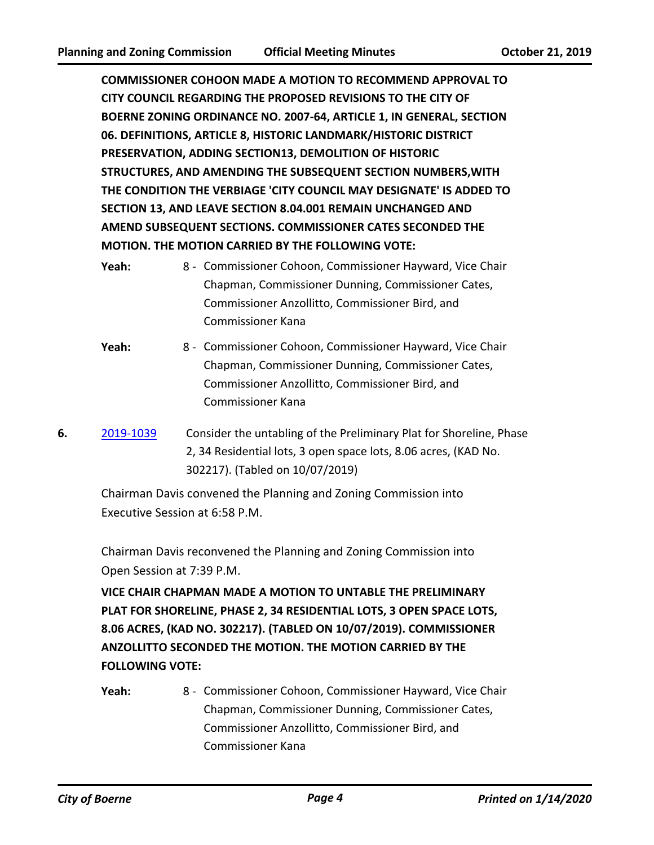**COMMISSIONER COHOON MADE A MOTION TO RECOMMEND APPROVAL TO CITY COUNCIL REGARDING THE PROPOSED REVISIONS TO THE CITY OF BOERNE ZONING ORDINANCE NO. 2007-64, ARTICLE 1, IN GENERAL, SECTION 06. DEFINITIONS, ARTICLE 8, HISTORIC LANDMARK/HISTORIC DISTRICT PRESERVATION, ADDING SECTION13, DEMOLITION OF HISTORIC STRUCTURES, AND AMENDING THE SUBSEQUENT SECTION NUMBERS,WITH THE CONDITION THE VERBIAGE 'CITY COUNCIL MAY DESIGNATE' IS ADDED TO SECTION 13, AND LEAVE SECTION 8.04.001 REMAIN UNCHANGED AND AMEND SUBSEQUENT SECTIONS. COMMISSIONER CATES SECONDED THE MOTION. THE MOTION CARRIED BY THE FOLLOWING VOTE:**

- 8 Commissioner Cohoon, Commissioner Hayward, Vice Chair Chapman, Commissioner Dunning, Commissioner Cates, Commissioner Anzollitto, Commissioner Bird, and Commissioner Kana Yeah:
- Yeah: 8 Commissioner Cohoon, Commissioner Hayward, Vice Chair Chapman, Commissioner Dunning, Commissioner Cates, Commissioner Anzollitto, Commissioner Bird, and Commissioner Kana
- **6.** [2019-1039](http://boerne.legistar.com/gateway.aspx?m=l&id=/matter.aspx?key=4865) Consider the untabling of the Preliminary Plat for Shoreline, Phase 2, 34 Residential lots, 3 open space lots, 8.06 acres, (KAD No. 302217). (Tabled on 10/07/2019)

Chairman Davis convened the Planning and Zoning Commission into Executive Session at 6:58 P.M.

Chairman Davis reconvened the Planning and Zoning Commission into Open Session at 7:39 P.M.

**VICE CHAIR CHAPMAN MADE A MOTION TO UNTABLE THE PRELIMINARY PLAT FOR SHORELINE, PHASE 2, 34 RESIDENTIAL LOTS, 3 OPEN SPACE LOTS, 8.06 ACRES, (KAD NO. 302217). (TABLED ON 10/07/2019). COMMISSIONER ANZOLLITTO SECONDED THE MOTION. THE MOTION CARRIED BY THE FOLLOWING VOTE:**

Yeah: 8 - Commissioner Cohoon, Commissioner Hayward, Vice Chair Chapman, Commissioner Dunning, Commissioner Cates, Commissioner Anzollitto, Commissioner Bird, and Commissioner Kana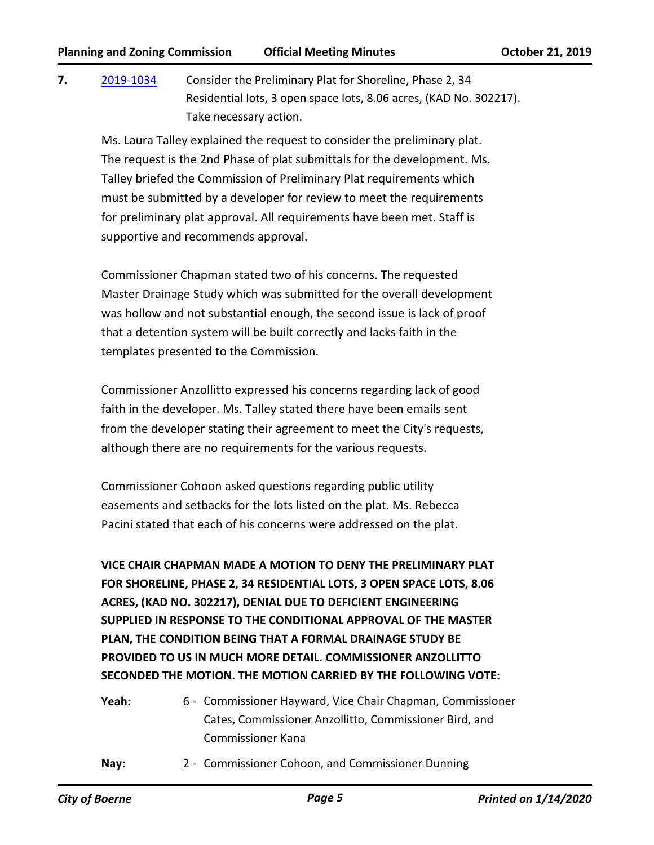**7.** [2019-1034](http://boerne.legistar.com/gateway.aspx?m=l&id=/matter.aspx?key=4860) Consider the Preliminary Plat for Shoreline, Phase 2, 34 Residential lots, 3 open space lots, 8.06 acres, (KAD No. 302217). Take necessary action.

Ms. Laura Talley explained the request to consider the preliminary plat. The request is the 2nd Phase of plat submittals for the development. Ms. Talley briefed the Commission of Preliminary Plat requirements which must be submitted by a developer for review to meet the requirements for preliminary plat approval. All requirements have been met. Staff is supportive and recommends approval.

Commissioner Chapman stated two of his concerns. The requested Master Drainage Study which was submitted for the overall development was hollow and not substantial enough, the second issue is lack of proof that a detention system will be built correctly and lacks faith in the templates presented to the Commission.

Commissioner Anzollitto expressed his concerns regarding lack of good faith in the developer. Ms. Talley stated there have been emails sent from the developer stating their agreement to meet the City's requests, although there are no requirements for the various requests.

Commissioner Cohoon asked questions regarding public utility easements and setbacks for the lots listed on the plat. Ms. Rebecca Pacini stated that each of his concerns were addressed on the plat.

**VICE CHAIR CHAPMAN MADE A MOTION TO DENY THE PRELIMINARY PLAT FOR SHORELINE, PHASE 2, 34 RESIDENTIAL LOTS, 3 OPEN SPACE LOTS, 8.06 ACRES, (KAD NO. 302217), DENIAL DUE TO DEFICIENT ENGINEERING SUPPLIED IN RESPONSE TO THE CONDITIONAL APPROVAL OF THE MASTER PLAN, THE CONDITION BEING THAT A FORMAL DRAINAGE STUDY BE PROVIDED TO US IN MUCH MORE DETAIL. COMMISSIONER ANZOLLITTO SECONDED THE MOTION. THE MOTION CARRIED BY THE FOLLOWING VOTE:**

- Yeah: 6 Commissioner Hayward, Vice Chair Chapman, Commissioner Cates, Commissioner Anzollitto, Commissioner Bird, and Commissioner Kana
- **Nay:** 2 Commissioner Cohoon, and Commissioner Dunning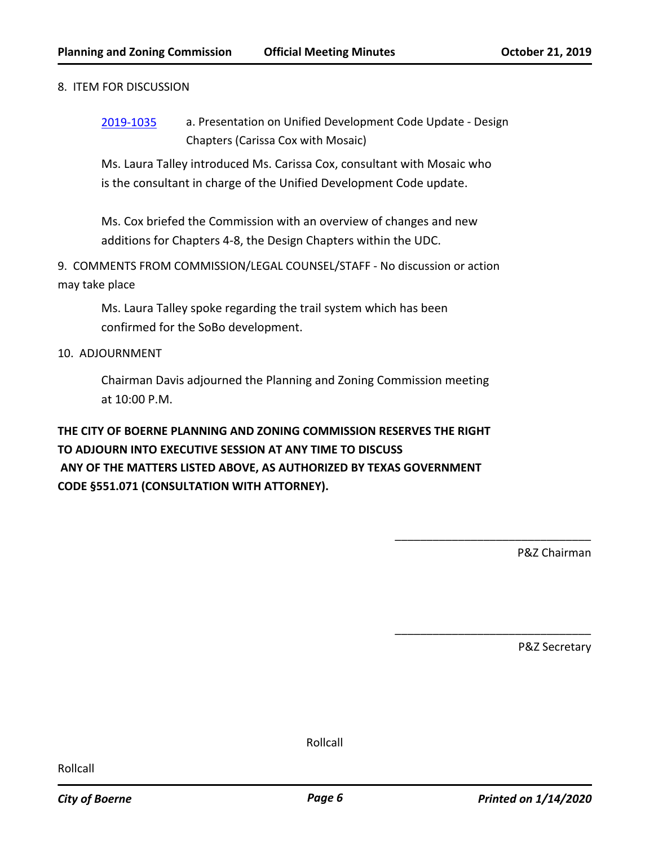### 8. ITEM FOR DISCUSSION

[2019-1035](http://boerne.legistar.com/gateway.aspx?m=l&id=/matter.aspx?key=4861) a. Presentation on Unified Development Code Update - Design Chapters (Carissa Cox with Mosaic)

Ms. Laura Talley introduced Ms. Carissa Cox, consultant with Mosaic who is the consultant in charge of the Unified Development Code update.

Ms. Cox briefed the Commission with an overview of changes and new additions for Chapters 4-8, the Design Chapters within the UDC.

9. COMMENTS FROM COMMISSION/LEGAL COUNSEL/STAFF - No discussion or action may take place

Ms. Laura Talley spoke regarding the trail system which has been confirmed for the SoBo development.

## 10. ADJOURNMENT

Chairman Davis adjourned the Planning and Zoning Commission meeting at 10:00 P.M.

# **THE CITY OF BOERNE PLANNING AND ZONING COMMISSION RESERVES THE RIGHT TO ADJOURN INTO EXECUTIVE SESSION AT ANY TIME TO DISCUSS ANY OF THE MATTERS LISTED ABOVE, AS AUTHORIZED BY TEXAS GOVERNMENT CODE §551.071 (CONSULTATION WITH ATTORNEY).**

P&Z Chairman

\_\_\_\_\_\_\_\_\_\_\_\_\_\_\_\_\_\_\_\_\_\_\_\_\_\_\_\_\_\_\_

\_\_\_\_\_\_\_\_\_\_\_\_\_\_\_\_\_\_\_\_\_\_\_\_\_\_\_\_\_\_\_

P&Z Secretary

Rollcall

Rollcall